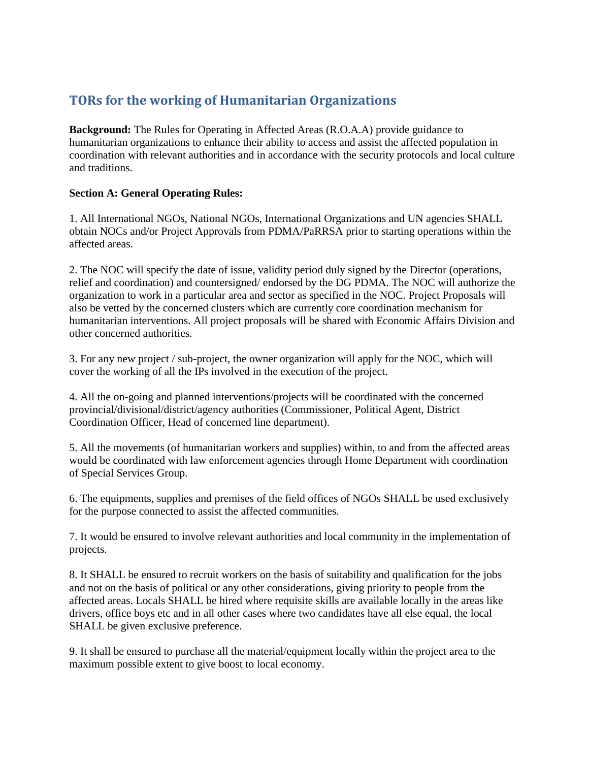# **TORs for the working of Humanitarian Organizations**

**Background:** The Rules for Operating in Affected Areas (R.O.A.A) provide guidance to humanitarian organizations to enhance their ability to access and assist the affected population in coordination with relevant authorities and in accordance with the security protocols and local culture and traditions.

## **Section A: General Operating Rules:**

1. All International NGOs, National NGOs, International Organizations and UN agencies SHALL obtain NOCs and/or Project Approvals from PDMA/PaRRSA prior to starting operations within the affected areas.

2. The NOC will specify the date of issue, validity period duly signed by the Director (operations, relief and coordination) and countersigned/ endorsed by the DG PDMA. The NOC will authorize the organization to work in a particular area and sector as specified in the NOC. Project Proposals will also be vetted by the concerned clusters which are currently core coordination mechanism for humanitarian interventions. All project proposals will be shared with Economic Affairs Division and other concerned authorities.

3. For any new project / sub-project, the owner organization will apply for the NOC, which will cover the working of all the IPs involved in the execution of the project.

4. All the on-going and planned interventions/projects will be coordinated with the concerned provincial/divisional/district/agency authorities (Commissioner, Political Agent, District Coordination Officer, Head of concerned line department).

5. All the movements (of humanitarian workers and supplies) within, to and from the affected areas would be coordinated with law enforcement agencies through Home Department with coordination of Special Services Group.

6. The equipments, supplies and premises of the field offices of NGOs SHALL be used exclusively for the purpose connected to assist the affected communities.

7. It would be ensured to involve relevant authorities and local community in the implementation of projects.

8. It SHALL be ensured to recruit workers on the basis of suitability and qualification for the jobs and not on the basis of political or any other considerations, giving priority to people from the affected areas. Locals SHALL be hired where requisite skills are available locally in the areas like drivers, office boys etc and in all other cases where two candidates have all else equal, the local SHALL be given exclusive preference.

9. It shall be ensured to purchase all the material/equipment locally within the project area to the maximum possible extent to give boost to local economy.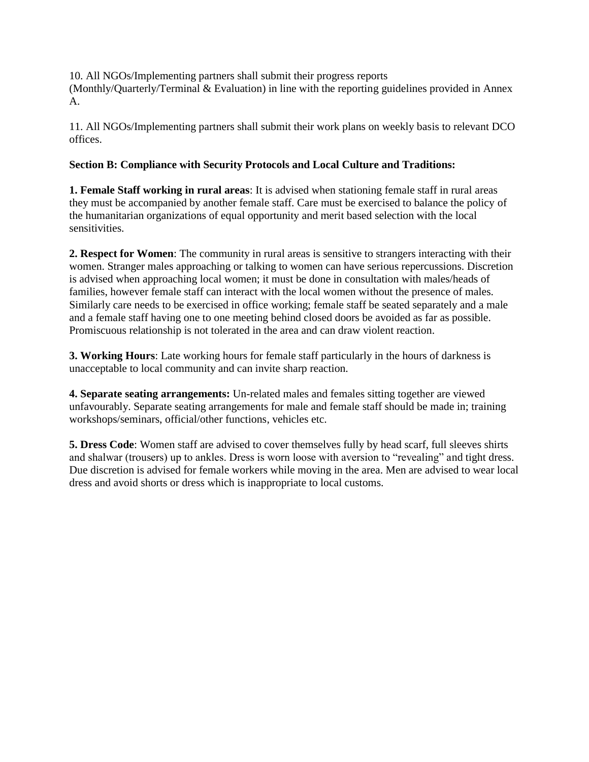10. All NGOs/Implementing partners shall submit their progress reports (Monthly/Quarterly/Terminal & Evaluation) in line with the reporting guidelines provided in Annex A.

11. All NGOs/Implementing partners shall submit their work plans on weekly basis to relevant DCO offices.

# **Section B: Compliance with Security Protocols and Local Culture and Traditions:**

**1. Female Staff working in rural areas**: It is advised when stationing female staff in rural areas they must be accompanied by another female staff. Care must be exercised to balance the policy of the humanitarian organizations of equal opportunity and merit based selection with the local sensitivities.

**2. Respect for Women**: The community in rural areas is sensitive to strangers interacting with their women. Stranger males approaching or talking to women can have serious repercussions. Discretion is advised when approaching local women; it must be done in consultation with males/heads of families, however female staff can interact with the local women without the presence of males. Similarly care needs to be exercised in office working; female staff be seated separately and a male and a female staff having one to one meeting behind closed doors be avoided as far as possible. Promiscuous relationship is not tolerated in the area and can draw violent reaction.

**3. Working Hours**: Late working hours for female staff particularly in the hours of darkness is unacceptable to local community and can invite sharp reaction.

**4. Separate seating arrangements:** Un-related males and females sitting together are viewed unfavourably. Separate seating arrangements for male and female staff should be made in; training workshops/seminars, official/other functions, vehicles etc.

**5. Dress Code**: Women staff are advised to cover themselves fully by head scarf, full sleeves shirts and shalwar (trousers) up to ankles. Dress is worn loose with aversion to "revealing" and tight dress. Due discretion is advised for female workers while moving in the area. Men are advised to wear local dress and avoid shorts or dress which is inappropriate to local customs.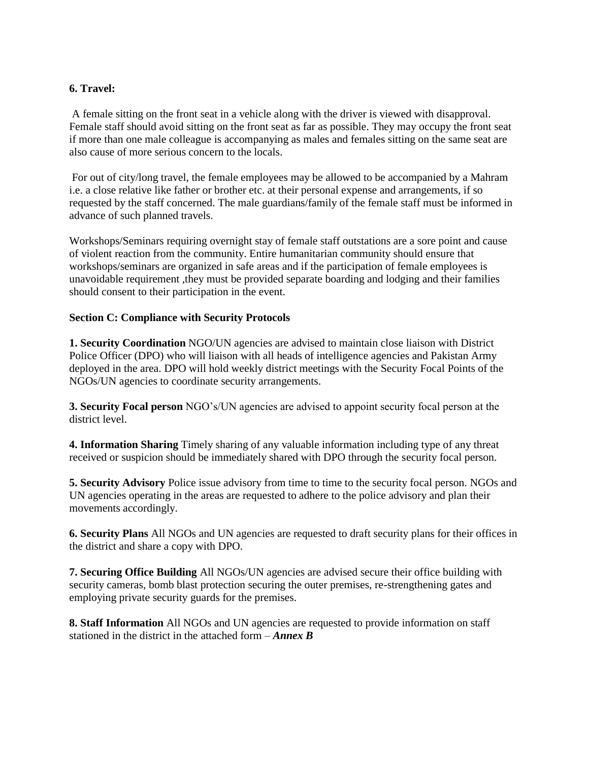## **6. Travel:**

A female sitting on the front seat in a vehicle along with the driver is viewed with disapproval. Female staff should avoid sitting on the front seat as far as possible. They may occupy the front seat if more than one male colleague is accompanying as males and females sitting on the same seat are also cause of more serious concern to the locals.

For out of city/long travel, the female employees may be allowed to be accompanied by a Mahram i.e. a close relative like father or brother etc. at their personal expense and arrangements, if so requested by the staff concerned. The male guardians/family of the female staff must be informed in advance of such planned travels.

Workshops/Seminars requiring overnight stay of female staff outstations are a sore point and cause of violent reaction from the community. Entire humanitarian community should ensure that workshops/seminars are organized in safe areas and if the participation of female employees is unavoidable requirement ,they must be provided separate boarding and lodging and their families should consent to their participation in the event.

#### **Section C: Compliance with Security Protocols**

**1. Security Coordination** NGO/UN agencies are advised to maintain close liaison with District Police Officer (DPO) who will liaison with all heads of intelligence agencies and Pakistan Army deployed in the area. DPO will hold weekly district meetings with the Security Focal Points of the NGOs/UN agencies to coordinate security arrangements.

**3. Security Focal person** NGO's/UN agencies are advised to appoint security focal person at the district level.

**4. Information Sharing** Timely sharing of any valuable information including type of any threat received or suspicion should be immediately shared with DPO through the security focal person.

**5. Security Advisory** Police issue advisory from time to time to the security focal person. NGOs and UN agencies operating in the areas are requested to adhere to the police advisory and plan their movements accordingly.

**6. Security Plans** All NGOs and UN agencies are requested to draft security plans for their offices in the district and share a copy with DPO.

**7. Securing Office Building** All NGOs/UN agencies are advised secure their office building with security cameras, bomb blast protection securing the outer premises, re-strengthening gates and employing private security guards for the premises.

**8. Staff Information** All NGOs and UN agencies are requested to provide information on staff stationed in the district in the attached form – *Annex B*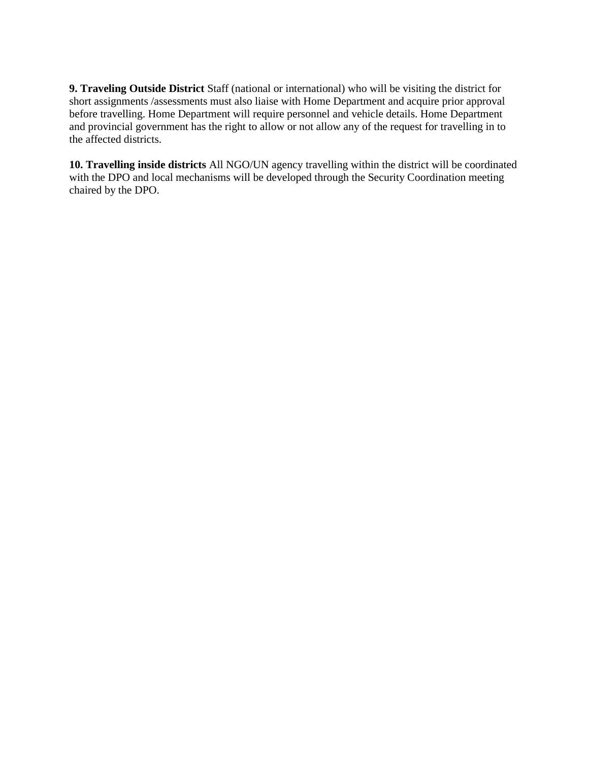**9. Traveling Outside District** Staff (national or international) who will be visiting the district for short assignments /assessments must also liaise with Home Department and acquire prior approval before travelling. Home Department will require personnel and vehicle details. Home Department and provincial government has the right to allow or not allow any of the request for travelling in to the affected districts.

**10. Travelling inside districts** All NGO/UN agency travelling within the district will be coordinated with the DPO and local mechanisms will be developed through the Security Coordination meeting chaired by the DPO.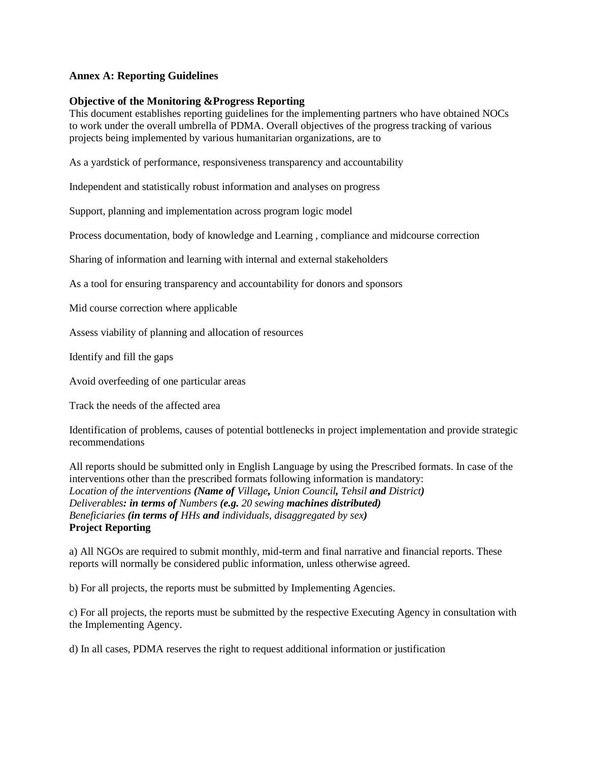#### **Annex A: Reporting Guidelines**

#### **Objective of the Monitoring &Progress Reporting**

This document establishes reporting guidelines for the implementing partners who have obtained NOCs to work under the overall umbrella of PDMA. Overall objectives of the progress tracking of various projects being implemented by various humanitarian organizations, are to

As a yardstick of performance, responsiveness transparency and accountability

Independent and statistically robust information and analyses on progress

Support, planning and implementation across program logic model

Process documentation, body of knowledge and Learning , compliance and midcourse correction

Sharing of information and learning with internal and external stakeholders

As a tool for ensuring transparency and accountability for donors and sponsors

Mid course correction where applicable

Assess viability of planning and allocation of resources

Identify and fill the gaps

Avoid overfeeding of one particular areas

Track the needs of the affected area

Identification of problems, causes of potential bottlenecks in project implementation and provide strategic recommendations

All reports should be submitted only in English Language by using the Prescribed formats. In case of the interventions other than the prescribed formats following information is mandatory: *Location of the interventions (Name of Village, Union Council, Tehsil and District) Deliverables: in terms of Numbers (e.g. 20 sewing machines distributed) Beneficiaries (in terms of HHs and individuals, disaggregated by sex)*  **Project Reporting** 

a) All NGOs are required to submit monthly, mid-term and final narrative and financial reports. These reports will normally be considered public information, unless otherwise agreed.

b) For all projects, the reports must be submitted by Implementing Agencies.

c) For all projects, the reports must be submitted by the respective Executing Agency in consultation with the Implementing Agency.

d) In all cases, PDMA reserves the right to request additional information or justification